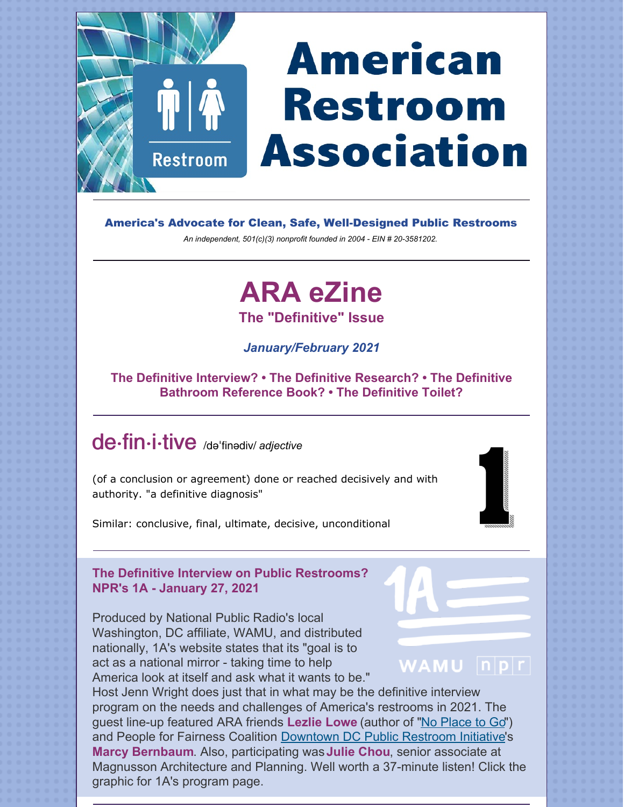## **American**  $\mathbf{\dot{\P}}$   $\mathbf{\dot{\P}}$ **Restroom Association Restroom**

America's Advocate for Clean, Safe, Well-Designed Public Restrooms

*An independent, 501(c)(3) nonprofit founded in 2004 - EIN # 20-3581202.*

# **ARA eZine**

**The "Definitive" Issue**

*January/February 2021*

#### **The Definitive Interview? • The Definitive Research? • The Definitive Bathroom Reference Book? • The Definitive Toilet?**

## de·fin·i·tive /dəˈfinədiv/ *adjective*

(of a conclusion or agreement) done or reached decisively and with authority. "a definitive diagnosis"



Similar: conclusive, final, ultimate, decisive, unconditional

#### **The Definitive Interview on Public Restrooms? NPR's 1A - January 27, 2021**

Produced by National Public Radio's local Washington, DC affiliate, WAMU, and distributed nationally, 1A's website states that its "goal is to act as a national mirror - taking time to help America look at itself and ask what it wants to be."

## WAMU **npr**

Host Jenn Wright does just that in what may be the definitive interview program on the needs and challenges of America's restrooms in 2021. The guest line-up featured ARA friends **Lezlie Lowe** (author of ["No Place to Go](https://www.amazon.com/dp/B07HKQ8L2D/ref=dp-kindle-redirect?_encoding=UTF8&btkr=1)") and People for Fairness Coalition [Downtown DC Public Restroom Initiative](https://pffcdc.org/what-we-do/public-restrooms/)'s **Marcy Bernbaum**. Also, participating was **Julie Chou**, senior associate at Magnusson Architecture and Planning. Well worth a 37-minute listen! Click the graphic for 1A's program page.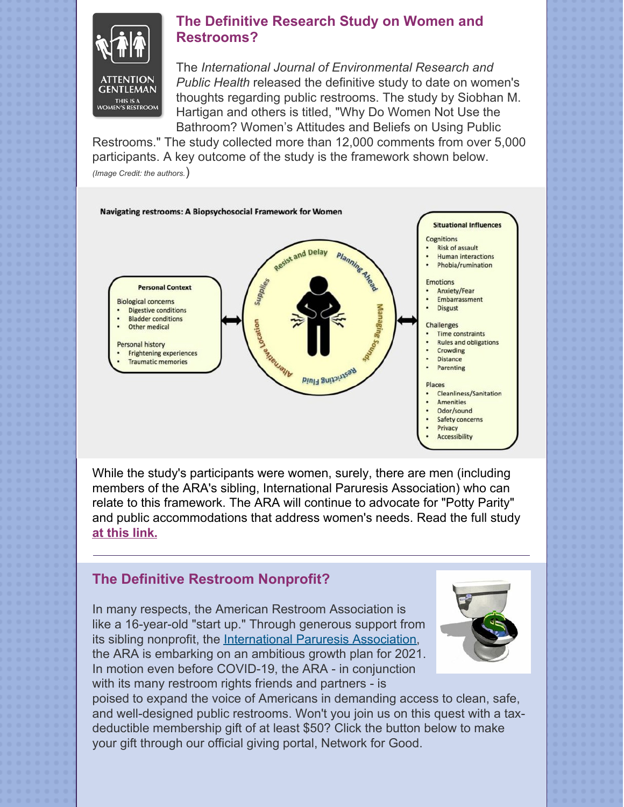

#### **The Definitive Research Study on Women and Restrooms?**

The *International Journal of Environmental Research and Public Health* released the definitive study to date on women's thoughts regarding public restrooms. The study by Siobhan M. Hartigan and others is titled, "Why Do Women Not Use the Bathroom? Women's Attitudes and Beliefs on Using Public

Restrooms." The study collected more than 12,000 comments from over 5,000 participants. A key outcome of the study is the framework shown below. *(Image Credit: the authors.*)



While the study's participants were women, surely, there are men (including members of the ARA's sibling, International Paruresis Association) who can relate to this framework. The ARA will continue to advocate for "Potty Parity" and public accommodations that address women's needs. Read the full study **[at this link.](https://www.ncbi.nlm.nih.gov/pmc/articles/PMC7142493/)**

#### **The Definitive Restroom Nonprofit?**

In many respects, the American Restroom Association is like a 16-year-old "start up." Through generous support from its sibling nonprofit, the [International Paruresis Association](https://paruresis.org), the ARA is embarking on an ambitious growth plan for 2021. In motion even before COVID-19, the ARA - in conjunction with its many restroom rights friends and partners - is



poised to expand the voice of Americans in demanding access to clean, safe, and well-designed public restrooms. Won't you join us on this quest with a taxdeductible membership gift of at least \$50? Click the button below to make your gift through our official giving portal, Network for Good.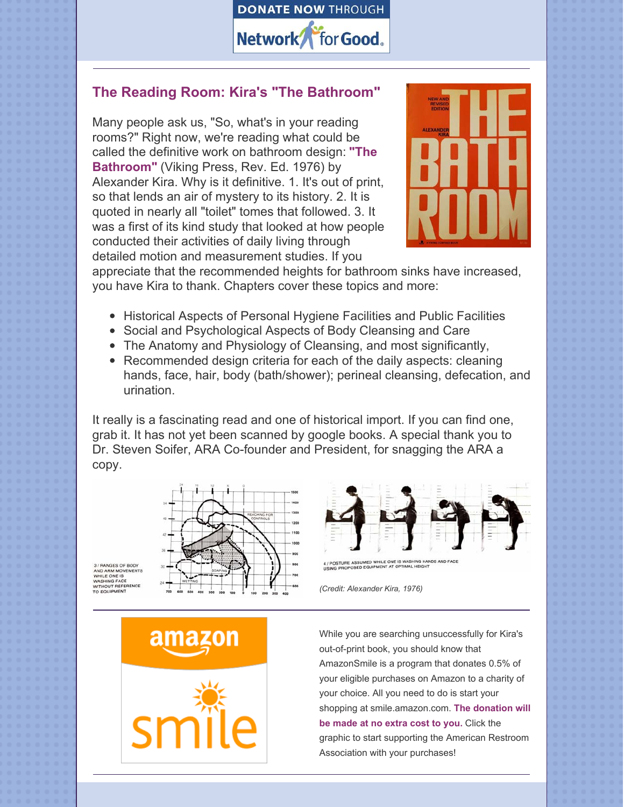

#### **The Reading Room: Kira's "The Bathroom"**

Many people ask us, "So, what's in your reading rooms?" Right now, we're reading what could be called the definitive work on bathroom design: **"The Bathroom"** (Viking Press, Rev. Ed. 1976) by Alexander Kira. Why is it definitive. 1. It's out of print, so that lends an air of mystery to its history. 2. It is quoted in nearly all "toilet" tomes that followed. 3. It was a first of its kind study that looked at how people conducted their activities of daily living through detailed motion and measurement studies. If you



appreciate that the recommended heights for bathroom sinks have increased, you have Kira to thank. Chapters cover these topics and more:

- Historical Aspects of Personal Hygiene Facilities and Public Facilities
- Social and Psychological Aspects of Body Cleansing and Care
- The Anatomy and Physiology of Cleansing, and most significantly,
- Recommended design criteria for each of the daily aspects: cleaning hands, face, hair, body (bath/shower); perineal cleansing, defecation, and urination.

It really is a fascinating read and one of historical import. If you can find one, grab it. It has not yet been scanned by google books. A special thank you to Dr. Steven Soifer, ARA Co-founder and President, for snagging the ARA a copy.





*(Credit: Alexander Kira, 1976)*



While you are searching unsuccessfully for Kira's out-of-print book, you should know that AmazonSmile is a program that donates 0.5% of your eligible purchases on Amazon to a charity of your choice. All you need to do is start your shopping at smile.amazon.com. **The donation will be made at no extra cost to you.** Click the graphic to start supporting the American Restroom Association with your purchases!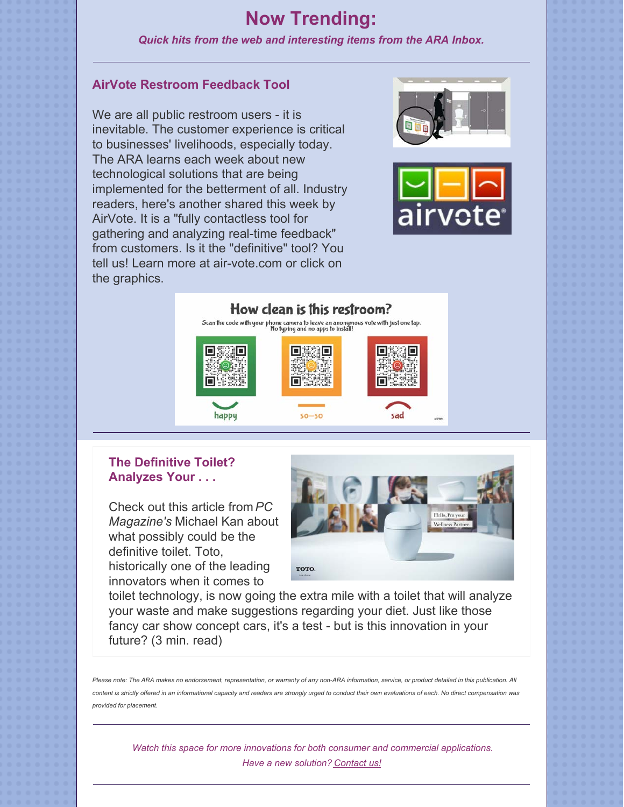### **Now Trending:**

*Quick hits from the web and interesting items from the ARA Inbox.*

#### **AirVote Restroom Feedback Tool**

We are all public restroom users - it is inevitable. The customer experience is critical to businesses' livelihoods, especially today. The ARA learns each week about new technological solutions that are being implemented for the betterment of all. Industry readers, here's another shared this week by AirVote. It is a "fully contactless tool for gathering and analyzing real-time feedback" from customers. Is it the "definitive" tool? You tell us! Learn more at air-vote.com or click on the graphics.





#### How clean is this restroom?

Scan the code with your phone camera to leave an anonymous vote with just one tap.<br>No typing and no apps to install!



#### **The Definitive Toilet? Analyzes Your . . .**

Check out this article from *PC Magazine's* Michael Kan about what possibly could be the definitive toilet. Toto, historically one of the leading innovators when it comes to



toilet technology, is now going the extra mile with a toilet that will analyze your waste and make suggestions regarding your diet. Just like those fancy car show concept cars, it's a test - but is this innovation in your future? (3 min. read)

*Please note: The ARA makes no endorsement, representation, or warranty of any non-ARA information, service, or product detailed in this publication. All content is strictly offered in an informational capacity and readers are strongly urged to conduct their own evaluations of each. No direct compensation was provided for placement.*

*Watch this space for more innovations for both consumer and commercial applications. Have a new solution? [Contact us!](https://americanrestroom.org/contact/)*